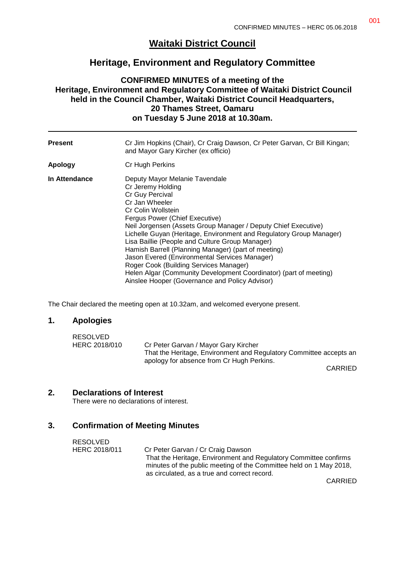# **Waitaki District Council**

# **Heritage, Environment and Regulatory Committee**

### **CONFIRMED MINUTES of a meeting of the Heritage, Environment and Regulatory Committee of Waitaki District Council held in the Council Chamber, Waitaki District Council Headquarters, 20 Thames Street, Oamaru on Tuesday 5 June 2018 at 10.30am.**

| <b>Present</b> | Cr Jim Hopkins (Chair), Cr Craig Dawson, Cr Peter Garvan, Cr Bill Kingan;<br>and Mayor Gary Kircher (ex officio)                                                                                                                                                                                                                                                                                                                                                                                                                                                                                                      |
|----------------|-----------------------------------------------------------------------------------------------------------------------------------------------------------------------------------------------------------------------------------------------------------------------------------------------------------------------------------------------------------------------------------------------------------------------------------------------------------------------------------------------------------------------------------------------------------------------------------------------------------------------|
| <b>Apology</b> | Cr Hugh Perkins                                                                                                                                                                                                                                                                                                                                                                                                                                                                                                                                                                                                       |
| In Attendance  | Deputy Mayor Melanie Tavendale<br>Cr Jeremy Holding<br>Cr Guy Percival<br>Cr Jan Wheeler<br>Cr Colin Wollstein<br>Fergus Power (Chief Executive)<br>Neil Jorgensen (Assets Group Manager / Deputy Chief Executive)<br>Lichelle Guyan (Heritage, Environment and Regulatory Group Manager)<br>Lisa Baillie (People and Culture Group Manager)<br>Hamish Barrell (Planning Manager) (part of meeting)<br>Jason Evered (Environmental Services Manager)<br>Roger Cook (Building Services Manager)<br>Helen Algar (Community Development Coordinator) (part of meeting)<br>Ainslee Hooper (Governance and Policy Advisor) |

The Chair declared the meeting open at 10.32am, and welcomed everyone present.

#### **1. Apologies**

| RESOLVED      |                                                                    |
|---------------|--------------------------------------------------------------------|
| HERC 2018/010 | Cr Peter Garvan / Mayor Gary Kircher                               |
|               | That the Heritage, Environment and Regulatory Committee accepts an |
|               | apology for absence from Cr Hugh Perkins.                          |

CARRIED

### **2. Declarations of Interest**

There were no declarations of interest.

#### **3. Confirmation of Meeting Minutes**

| RESOLVED      |                                                                    |
|---------------|--------------------------------------------------------------------|
| HERC 2018/011 | Cr Peter Garvan / Cr Craig Dawson                                  |
|               | That the Heritage, Environment and Regulatory Committee confirms   |
|               | minutes of the public meeting of the Committee held on 1 May 2018, |
|               | as circulated, as a true and correct record.                       |

CARRIED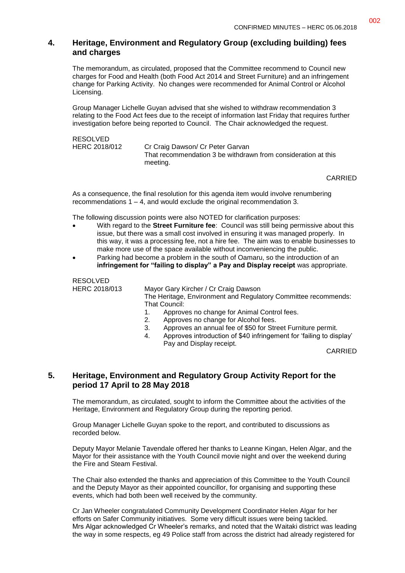## **4. Heritage, Environment and Regulatory Group (excluding building) fees and charges**

The memorandum, as circulated, proposed that the Committee recommend to Council new charges for Food and Health (both Food Act 2014 and Street Furniture) and an infringement change for Parking Activity. No changes were recommended for Animal Control or Alcohol Licensing.

Group Manager Lichelle Guyan advised that she wished to withdraw recommendation 3 relating to the Food Act fees due to the receipt of information last Friday that requires further investigation before being reported to Council. The Chair acknowledged the request.

RESOLVED HERC 2018/012 Cr Craig Dawson/ Cr Peter Garvan That recommendation 3 be withdrawn from consideration at this meeting.

CARRIED

As a consequence, the final resolution for this agenda item would involve renumbering recommendations 1 – 4, and would exclude the original recommendation 3.

The following discussion points were also NOTED for clarification purposes:

- With regard to the **Street Furniture fee**: Council was still being permissive about this issue, but there was a small cost involved in ensuring it was managed properly. In this way, it was a processing fee, not a hire fee. The aim was to enable businesses to make more use of the space available without inconveniencing the public.
- Parking had become a problem in the south of Oamaru, so the introduction of an **infringement for "failing to display" a Pay and Display receipt** was appropriate.

RESOLVED

HERC 2018/013 Mayor Gary Kircher / Cr Craig Dawson

The Heritage, Environment and Regulatory Committee recommends: That Council:

- 1. Approves no change for Animal Control fees.
- 2. Approves no change for Alcohol fees.
- 3. Approves an annual fee of \$50 for Street Furniture permit.
- 4. Approves introduction of \$40 infringement for 'failing to display' Pay and Display receipt.

CARRIED

### **5. Heritage, Environment and Regulatory Group Activity Report for the period 17 April to 28 May 2018**

The memorandum, as circulated, sought to inform the Committee about the activities of the Heritage, Environment and Regulatory Group during the reporting period.

Group Manager Lichelle Guyan spoke to the report, and contributed to discussions as recorded below.

Deputy Mayor Melanie Tavendale offered her thanks to Leanne Kingan, Helen Algar, and the Mayor for their assistance with the Youth Council movie night and over the weekend during the Fire and Steam Festival.

The Chair also extended the thanks and appreciation of this Committee to the Youth Council and the Deputy Mayor as their appointed councillor, for organising and supporting these events, which had both been well received by the community.

Cr Jan Wheeler congratulated Community Development Coordinator Helen Algar for her efforts on Safer Community initiatives. Some very difficult issues were being tackled. Mrs Algar acknowledged Cr Wheeler's remarks, and noted that the Waitaki district was leading the way in some respects, eg 49 Police staff from across the district had already registered for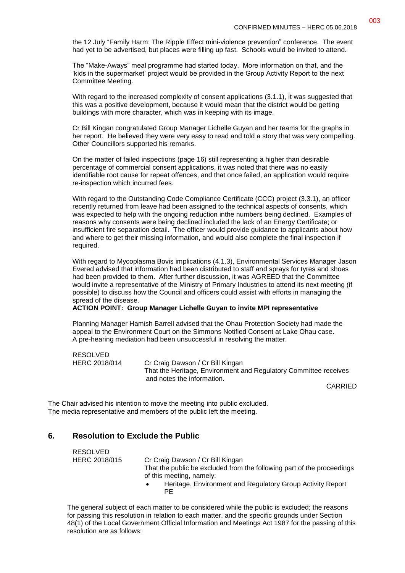the 12 July "Family Harm: The Ripple Effect mini-violence prevention" conference. The event had yet to be advertised, but places were filling up fast. Schools would be invited to attend.

The "Make-Aways" meal programme had started today. More information on that, and the 'kids in the supermarket' project would be provided in the Group Activity Report to the next Committee Meeting.

With regard to the increased complexity of consent applications (3.1.1), it was suggested that this was a positive development, because it would mean that the district would be getting buildings with more character, which was in keeping with its image.

Cr Bill Kingan congratulated Group Manager Lichelle Guyan and her teams for the graphs in her report. He believed they were very easy to read and told a story that was very compelling. Other Councillors supported his remarks.

On the matter of failed inspections (page 16) still representing a higher than desirable percentage of commercial consent applications, it was noted that there was no easily identifiable root cause for repeat offences, and that once failed, an application would require re-inspection which incurred fees.

With regard to the Outstanding Code Compliance Certificate (CCC) project (3.3.1), an officer recently returned from leave had been assigned to the technical aspects of consents, which was expected to help with the ongoing reduction inthe numbers being declined. Examples of reasons why consents were being declined included the lack of an Energy Certificate; or insufficient fire separation detail. The officer would provide guidance to applicants about how and where to get their missing information, and would also complete the final inspection if required.

With regard to Mycoplasma Bovis implications (4.1.3), Environmental Services Manager Jason Evered advised that information had been distributed to staff and sprays for tyres and shoes had been provided to them. After further discussion, it was AGREED that the Committee would invite a representative of the Ministry of Primary Industries to attend its next meeting (if possible) to discuss how the Council and officers could assist with efforts in managing the spread of the disease.

**ACTION POINT: Group Manager Lichelle Guyan to invite MPI representative**

Planning Manager Hamish Barrell advised that the Ohau Protection Society had made the appeal to the Environment Court on the Simmons Notified Consent at Lake Ohau case. A pre-hearing mediation had been unsuccessful in resolving the matter.

RESOLVED HERC 2018/014 Cr Craig Dawson / Cr Bill Kingan That the Heritage, Environment and Regulatory Committee receives and notes the information.

CARRIED

The Chair advised his intention to move the meeting into public excluded. The media representative and members of the public left the meeting.

## **6. Resolution to Exclude the Public**

| RESOLVED      |                                                                                                    |  |
|---------------|----------------------------------------------------------------------------------------------------|--|
| HERC 2018/015 | Cr Craig Dawson / Cr Bill Kingan                                                                   |  |
|               | That the public be excluded from the following part of the proceedings<br>of this meeting, namely: |  |
|               | Heritage, Environment and Regulatory Group Activity Report<br>PF.                                  |  |

The general subject of each matter to be considered while the public is excluded; the reasons for passing this resolution in relation to each matter, and the specific grounds under Section 48(1) of the Local Government Official Information and Meetings Act 1987 for the passing of this resolution are as follows: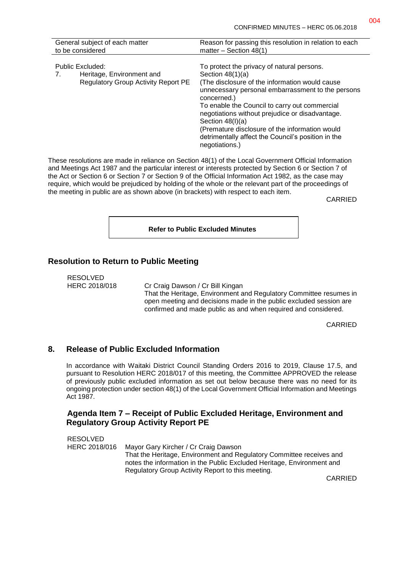| General subject of each matter                                                                    | Reason for passing this resolution in relation to each                                                                                                                                                                                                                                                                                                                                                                                     |
|---------------------------------------------------------------------------------------------------|--------------------------------------------------------------------------------------------------------------------------------------------------------------------------------------------------------------------------------------------------------------------------------------------------------------------------------------------------------------------------------------------------------------------------------------------|
| to be considered                                                                                  | matter $-$ Section 48(1)                                                                                                                                                                                                                                                                                                                                                                                                                   |
| Public Excluded:<br>Heritage, Environment and<br>7.<br><b>Regulatory Group Activity Report PE</b> | To protect the privacy of natural persons.<br>Section $48(1)(a)$<br>(The disclosure of the information would cause<br>unnecessary personal embarrassment to the persons<br>concerned.)<br>To enable the Council to carry out commercial<br>negotiations without prejudice or disadvantage.<br>Section $48(l)(a)$<br>(Premature disclosure of the information would<br>detrimentally affect the Council's position in the<br>negotiations.) |

These resolutions are made in reliance on Section 48(1) of the Local Government Official Information and Meetings Act 1987 and the particular interest or interests protected by Section 6 or Section 7 of the Act or Section 6 or Section 7 or Section 9 of the Official Information Act 1982, as the case may require, which would be prejudiced by holding of the whole or the relevant part of the proceedings of the meeting in public are as shown above (in brackets) with respect to each item.

CARRIED

#### **Refer to Public Excluded Minutes**

#### **Resolution to Return to Public Meeting**

RESOLVED

HERC 2018/018 Cr Craig Dawson / Cr Bill Kingan That the Heritage, Environment and Regulatory Committee resumes in open meeting and decisions made in the public excluded session are confirmed and made public as and when required and considered.

CARRIED

#### **8. Release of Public Excluded Information**

In accordance with Waitaki District Council Standing Orders 2016 to 2019, Clause 17.5, and pursuant to Resolution HERC 2018/017 of this meeting, the Committee APPROVED the release of previously public excluded information as set out below because there was no need for its ongoing protection under section 48(1) of the Local Government Official Information and Meetings Act 1987.

#### **Agenda Item 7 – Receipt of Public Excluded Heritage, Environment and Regulatory Group Activity Report PE**

RESOLVED HERC 2018/016 Mayor Gary Kircher / Cr Craig Dawson That the Heritage, Environment and Regulatory Committee receives and notes the information in the Public Excluded Heritage, Environment and Regulatory Group Activity Report to this meeting.

CARRIED